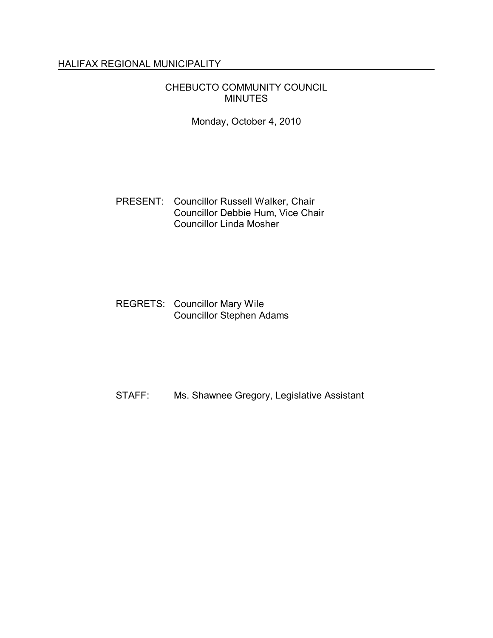# HALIFAX REGIONAL MUNICIPALITY

## CHEBUCTO COMMUNITY COUNCIL MINUTES

Monday, October 4, 2010

### PRESENT: Councillor Russell Walker, Chair Councillor Debbie Hum, Vice Chair Councillor Linda Mosher

## REGRETS: Councillor Mary Wile Councillor Stephen Adams

STAFF: Ms. Shawnee Gregory, Legislative Assistant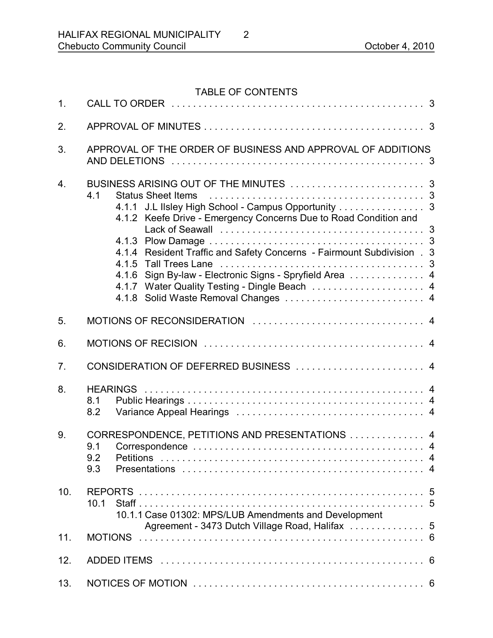# TABLE OF CONTENTS

| 1.               |                                                                                                                                                                                                                                                                                                                                                    |
|------------------|----------------------------------------------------------------------------------------------------------------------------------------------------------------------------------------------------------------------------------------------------------------------------------------------------------------------------------------------------|
| 2.               |                                                                                                                                                                                                                                                                                                                                                    |
| 3.               | APPROVAL OF THE ORDER OF BUSINESS AND APPROVAL OF ADDITIONS                                                                                                                                                                                                                                                                                        |
| $\overline{4}$ . | 4.1<br><b>Status Sheet Items</b><br>4.1.1 J.L IIsley High School - Campus Opportunity 3<br>4.1.2 Keefe Drive - Emergency Concerns Due to Road Condition and<br>4.1.4 Resident Traffic and Safety Concerns - Fairmount Subdivision . 3<br>4.1.6 Sign By-law - Electronic Signs - Spryfield Area  4<br>4.1.7 Water Quality Testing - Dingle Beach  4 |
| 5.               |                                                                                                                                                                                                                                                                                                                                                    |
| 6.               |                                                                                                                                                                                                                                                                                                                                                    |
| 7.               | CONSIDERATION OF DEFERRED BUSINESS  4                                                                                                                                                                                                                                                                                                              |
| 8.               | 8.1<br>8.2                                                                                                                                                                                                                                                                                                                                         |
| 9.               | CORRESPONDENCE, PETITIONS AND PRESENTATIONS  4<br>9.1<br>9.2<br><b>Petitions</b><br>9.3                                                                                                                                                                                                                                                            |
| 10.              | 10.1<br>10.1.1 Case 01302: MPS/LUB Amendments and Development                                                                                                                                                                                                                                                                                      |
| 11.              | <b>MOTIONS</b>                                                                                                                                                                                                                                                                                                                                     |
| 12.              |                                                                                                                                                                                                                                                                                                                                                    |
| 13.              |                                                                                                                                                                                                                                                                                                                                                    |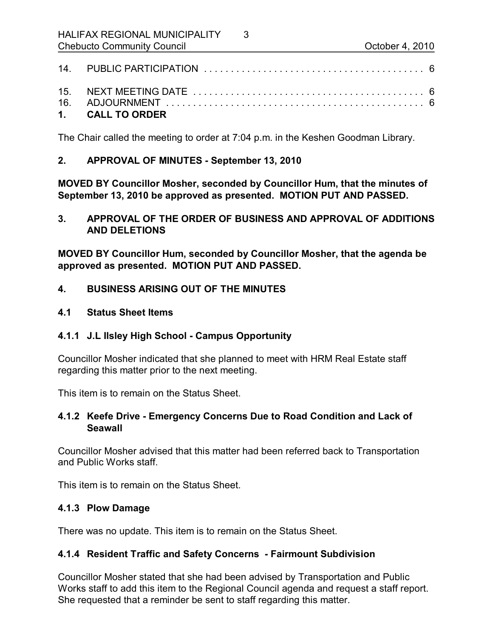| 1. CALL TO ORDER |  |
|------------------|--|

3

The Chair called the meeting to order at 7:04 p.m. in the Keshen Goodman Library.

## **2. APPROVAL OF MINUTES September 13, 2010**

**MOVED BY Councillor Mosher, seconded by Councillor Hum, that the minutes of September 13, 2010 be approved as presented. MOTION PUT AND PASSED.** 

**3. APPROVAL OF THE ORDER OF BUSINESS AND APPROVAL OF ADDITIONS AND DELETIONS**

**MOVED BY Councillor Hum, seconded by Councillor Mosher, that the agenda be approved as presented. MOTION PUT AND PASSED.** 

- **4. BUSINESS ARISING OUT OF THE MINUTES**
- **4.1 Status Sheet Items**
- **4.1.1 J.L Ilsley High School Campus Opportunity**

Councillor Mosher indicated that she planned to meet with HRM Real Estate staff regarding this matter prior to the next meeting.

This item is to remain on the Status Sheet.

## **4.1.2 Keefe Drive Emergency Concerns Due to Road Condition and Lack of Seawall**

Councillor Mosher advised that this matter had been referred back to Transportation and Public Works staff.

This item is to remain on the Status Sheet.

# **4.1.3 Plow Damage**

There was no update. This item is to remain on the Status Sheet.

# **4.1.4 Resident Traffic and Safety Concerns Fairmount Subdivision**

Councillor Mosher stated that she had been advised by Transportation and Public Works staff to add this item to the Regional Council agenda and request a staff report. She requested that a reminder be sent to staff regarding this matter.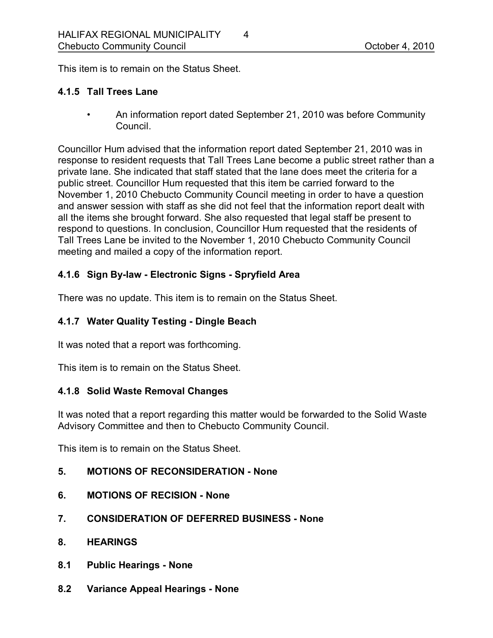This item is to remain on the Status Sheet.

## **4.1.5 Tall Trees Lane**

• An information report dated September 21, 2010 was before Community Council.

Councillor Hum advised that the information report dated September 21, 2010 was in response to resident requests that Tall Trees Lane become a public street rather than a private lane. She indicated that staff stated that the lane does meet the criteria for a public street. Councillor Hum requested that this item be carried forward to the November 1, 2010 Chebucto Community Council meeting in order to have a question and answer session with staff as she did not feel that the information report dealt with all the items she brought forward. She also requested that legal staff be present to respond to questions. In conclusion, Councillor Hum requested that the residents of Tall Trees Lane be invited to the November 1, 2010 Chebucto Community Council meeting and mailed a copy of the information report.

# **4.1.6 Sign Bylaw Electronic Signs Spryfield Area**

There was no update. This item is to remain on the Status Sheet.

# **4.1.7 Water Quality Testing Dingle Beach**

It was noted that a report was forthcoming.

This item is to remain on the Status Sheet.

### **4.1.8 Solid Waste Removal Changes**

It was noted that a report regarding this matter would be forwarded to the Solid Waste Advisory Committee and then to Chebucto Community Council.

This item is to remain on the Status Sheet.

- **5. MOTIONS OF RECONSIDERATION None**
- **6. MOTIONS OF RECISION None**
- **7. CONSIDERATION OF DEFERRED BUSINESS None**
- **8. HEARINGS**
- **8.1 Public Hearings None**
- **8.2 Variance Appeal Hearings None**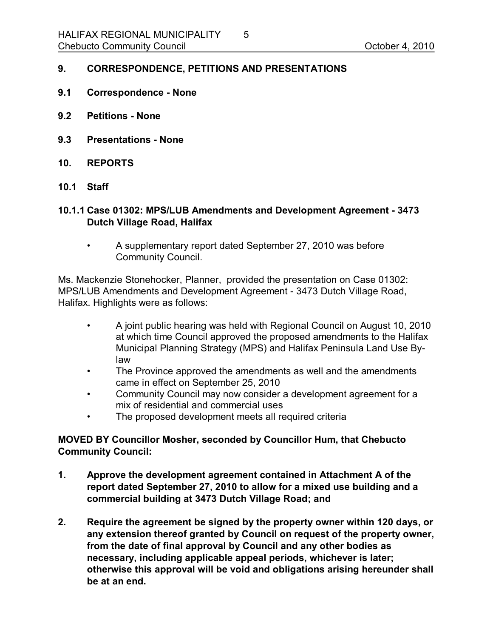### **9. CORRESPONDENCE, PETITIONS AND PRESENTATIONS**

- **9.1 Correspondence None**
- **9.2 Petitions None**
- **9.3 Presentations None**
- **10. REPORTS**
- **10.1 Staff**
- **10.1.1 Case 01302: MPS/LUB Amendments and Development Agreement 3473 Dutch Village Road, Halifax**
	- A supplementary report dated September 27, 2010 was before Community Council.

Ms. Mackenzie Stonehocker, Planner, provided the presentation on Case 01302: MPS/LUB Amendments and Development Agreement - 3473 Dutch Village Road, Halifax. Highlights were as follows:

- A joint public hearing was held with Regional Council on August 10, 2010 at which time Council approved the proposed amendments to the Halifax Municipal Planning Strategy (MPS) and Halifax Peninsula Land Use By law
- The Province approved the amendments as well and the amendments came in effect on September 25, 2010
- Community Council may now consider a development agreement for a mix of residential and commercial uses
- The proposed development meets all required criteria

## **MOVED BY Councillor Mosher, seconded by Councillor Hum, that Chebucto Community Council:**

- **1. Approve the development agreement contained in Attachment A of the report dated September 27, 2010 to allow for a mixed use building and a commercial building at 3473 Dutch Village Road; and**
- **2. Require the agreement be signed by the property owner within 120 days, or any extension thereof granted by Council on request of the property owner, from the date of final approval by Council and any other bodies as necessary, including applicable appeal periods, whichever is later; otherwise this approval will be void and obligations arising hereunder shall be at an end.**